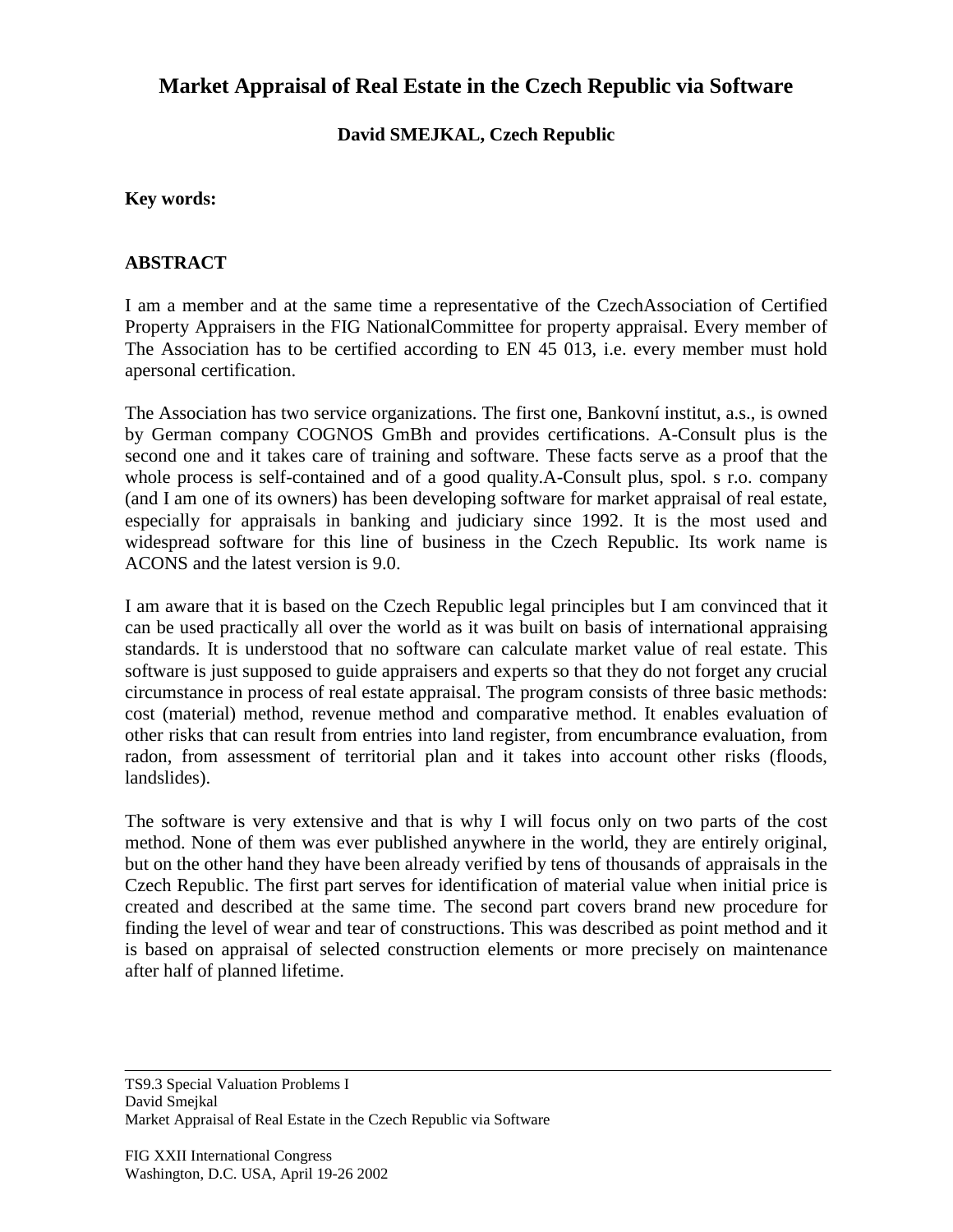# **Market Appraisal of Real Estate in the Czech Republic via Software**

### **David SMEJKAL, Czech Republic**

#### **Key words:**

#### **ABSTRACT**

I am a member and at the same time a representative of the CzechAssociation of Certified Property Appraisers in the FIG NationalCommittee for property appraisal. Every member of The Association has to be certified according to EN 45 013, i.e. every member must hold apersonal certification.

The Association has two service organizations. The first one, Bankovní institut, a.s., is owned by German company COGNOS GmBh and provides certifications. A-Consult plus is the second one and it takes care of training and software. These facts serve as a proof that the whole process is self-contained and of a good quality.A-Consult plus, spol. s r.o. company (and I am one of its owners) has been developing software for market appraisal of real estate, especially for appraisals in banking and judiciary since 1992. It is the most used and widespread software for this line of business in the Czech Republic. Its work name is ACONS and the latest version is 9.0.

I am aware that it is based on the Czech Republic legal principles but I am convinced that it can be used practically all over the world as it was built on basis of international appraising standards. It is understood that no software can calculate market value of real estate. This software is just supposed to guide appraisers and experts so that they do not forget any crucial circumstance in process of real estate appraisal. The program consists of three basic methods: cost (material) method, revenue method and comparative method. It enables evaluation of other risks that can result from entries into land register, from encumbrance evaluation, from radon, from assessment of territorial plan and it takes into account other risks (floods, landslides).

The software is very extensive and that is why I will focus only on two parts of the cost method. None of them was ever published anywhere in the world, they are entirely original, but on the other hand they have been already verified by tens of thousands of appraisals in the Czech Republic. The first part serves for identification of material value when initial price is created and described at the same time. The second part covers brand new procedure for finding the level of wear and tear of constructions. This was described as point method and it is based on appraisal of selected construction elements or more precisely on maintenance after half of planned lifetime.